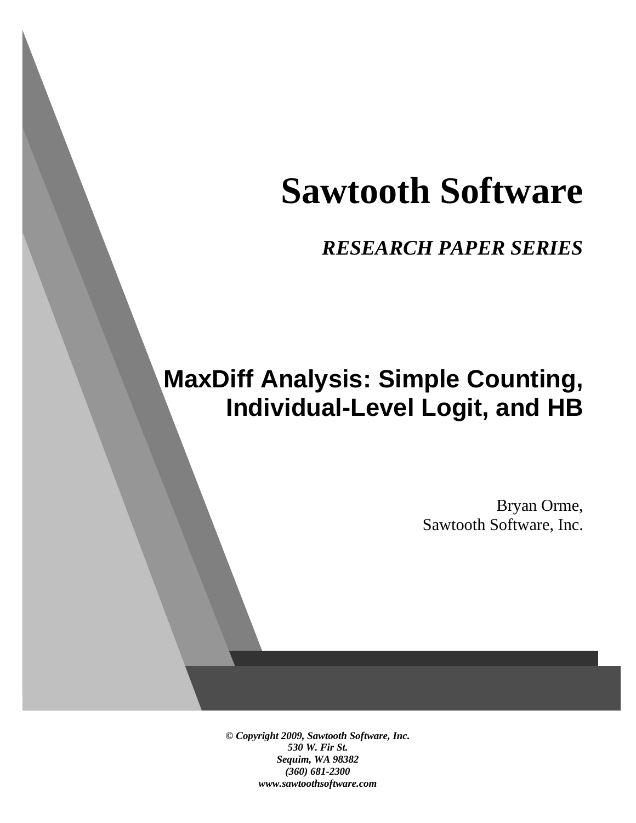# **Sawtooth Software**

*RESEARCH PAPER SERIES*

# **MaxDiff Analysis: Simple Counting, Individual-Level Logit, and HB**

Bryan Orme, Sawtooth Software, Inc.

*© Copyright 2009, Sawtooth Software, Inc. 530 W. Fir St. Sequim, WA 98382 (360) 681-2300 www.sawtoothsoftware.com*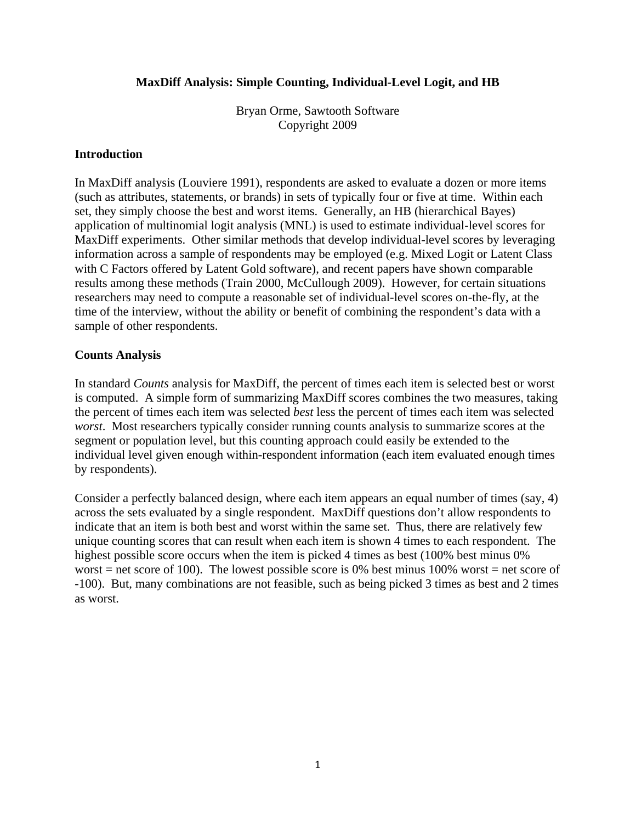## **MaxDiff Analysis: Simple Counting, Individual-Level Logit, and HB**

Bryan Orme, Sawtooth Software Copyright 2009

#### **Introduction**

In MaxDiff analysis (Louviere 1991), respondents are asked to evaluate a dozen or more items (such as attributes, statements, or brands) in sets of typically four or five at time. Within each set, they simply choose the best and worst items. Generally, an HB (hierarchical Bayes) application of multinomial logit analysis (MNL) is used to estimate individual-level scores for MaxDiff experiments. Other similar methods that develop individual-level scores by leveraging information across a sample of respondents may be employed (e.g. Mixed Logit or Latent Class with C Factors offered by Latent Gold software), and recent papers have shown comparable results among these methods (Train 2000, McCullough 2009). However, for certain situations researchers may need to compute a reasonable set of individual-level scores on-the-fly, at the time of the interview, without the ability or benefit of combining the respondent's data with a sample of other respondents.

#### **Counts Analysis**

In standard *Counts* analysis for MaxDiff, the percent of times each item is selected best or worst is computed. A simple form of summarizing MaxDiff scores combines the two measures, taking the percent of times each item was selected *best* less the percent of times each item was selected *worst*. Most researchers typically consider running counts analysis to summarize scores at the segment or population level, but this counting approach could easily be extended to the individual level given enough within-respondent information (each item evaluated enough times by respondents).

Consider a perfectly balanced design, where each item appears an equal number of times (say, 4) across the sets evaluated by a single respondent. MaxDiff questions don't allow respondents to indicate that an item is both best and worst within the same set. Thus, there are relatively few unique counting scores that can result when each item is shown 4 times to each respondent. The highest possible score occurs when the item is picked 4 times as best (100% best minus 0% worst = net score of 100). The lowest possible score is 0% best minus 100% worst = net score of -100). But, many combinations are not feasible, such as being picked 3 times as best and 2 times as worst.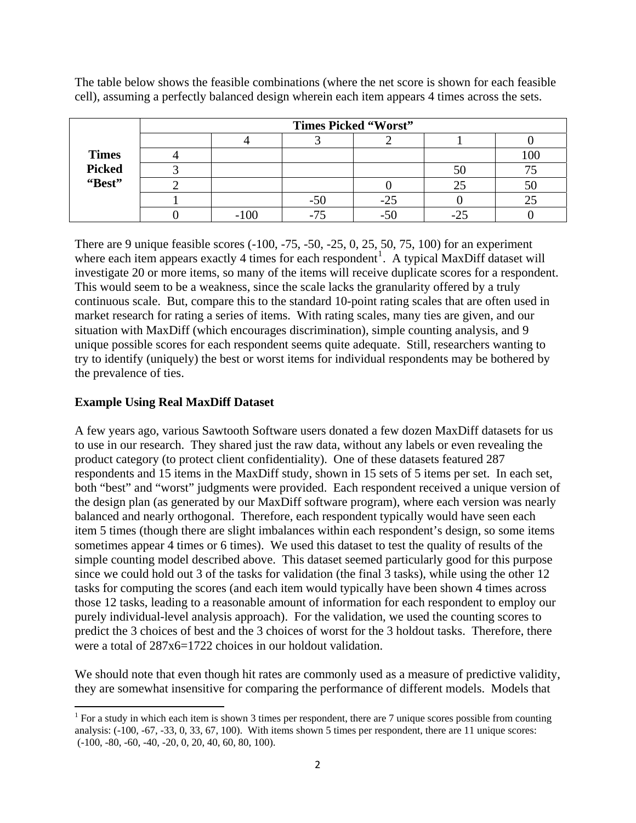|               | <b>Times Picked "Worst"</b> |        |     |       |    |     |
|---------------|-----------------------------|--------|-----|-------|----|-----|
|               |                             |        |     |       |    |     |
| <b>Times</b>  |                             |        |     |       |    | 100 |
| <b>Picked</b> |                             |        |     |       | ЭU |     |
| "Best"        |                             |        |     |       | 25 | υc  |
|               |                             |        | -50 | $-25$ |    |     |
|               |                             | $-100$ |     |       |    |     |

The table below shows the feasible combinations (where the net score is shown for each feasible cell), assuming a perfectly balanced design wherein each item appears 4 times across the sets.

There are 9 unique feasible scores (-100, -75, -50, -25, 0, 25, 50, 75, 100) for an experiment where each item appears exactly 4 times for each respondent<sup>[1](#page-2-0)</sup>. A typical MaxDiff dataset will investigate 20 or more items, so many of the items will receive duplicate scores for a respondent. This would seem to be a weakness, since the scale lacks the granularity offered by a truly continuous scale. But, compare this to the standard 10-point rating scales that are often used in market research for rating a series of items. With rating scales, many ties are given, and our situation with MaxDiff (which encourages discrimination), simple counting analysis, and 9 unique possible scores for each respondent seems quite adequate. Still, researchers wanting to try to identify (uniquely) the best or worst items for individual respondents may be bothered by the prevalence of ties.

## **Example Using Real MaxDiff Dataset**

A few years ago, various Sawtooth Software users donated a few dozen MaxDiff datasets for us to use in our research. They shared just the raw data, without any labels or even revealing the product category (to protect client confidentiality). One of these datasets featured 287 respondents and 15 items in the MaxDiff study, shown in 15 sets of 5 items per set. In each set, both "best" and "worst" judgments were provided. Each respondent received a unique version of the design plan (as generated by our MaxDiff software program), where each version was nearly balanced and nearly orthogonal. Therefore, each respondent typically would have seen each item 5 times (though there are slight imbalances within each respondent's design, so some items sometimes appear 4 times or 6 times). We used this dataset to test the quality of results of the simple counting model described above. This dataset seemed particularly good for this purpose since we could hold out 3 of the tasks for validation (the final 3 tasks), while using the other 12 tasks for computing the scores (and each item would typically have been shown 4 times across those 12 tasks, leading to a reasonable amount of information for each respondent to employ our purely individual-level analysis approach). For the validation, we used the counting scores to predict the 3 choices of best and the 3 choices of worst for the 3 holdout tasks. Therefore, there were a total of 287x6=1722 choices in our holdout validation.

We should note that even though hit rates are commonly used as a measure of predictive validity, they are somewhat insensitive for comparing the performance of different models. Models that

<span id="page-2-0"></span><sup>&</sup>lt;sup>1</sup> For a study in which each item is shown 3 times per respondent, there are 7 unique scores possible from counting analysis: (-100, -67, -33, 0, 33, 67, 100). With items shown 5 times per respondent, there are 11 unique scores: (-100, -80, -60, -40, -20, 0, 20, 40, 60, 80, 100).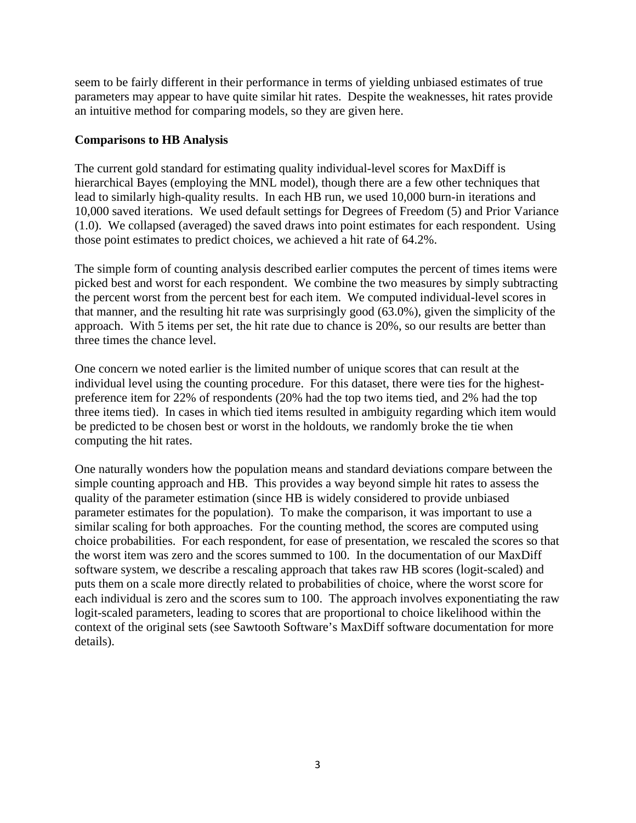seem to be fairly different in their performance in terms of yielding unbiased estimates of true parameters may appear to have quite similar hit rates. Despite the weaknesses, hit rates provide an intuitive method for comparing models, so they are given here.

#### **Comparisons to HB Analysis**

The current gold standard for estimating quality individual-level scores for MaxDiff is hierarchical Bayes (employing the MNL model), though there are a few other techniques that lead to similarly high-quality results. In each HB run, we used 10,000 burn-in iterations and 10,000 saved iterations. We used default settings for Degrees of Freedom (5) and Prior Variance (1.0). We collapsed (averaged) the saved draws into point estimates for each respondent. Using those point estimates to predict choices, we achieved a hit rate of 64.2%.

The simple form of counting analysis described earlier computes the percent of times items were picked best and worst for each respondent. We combine the two measures by simply subtracting the percent worst from the percent best for each item. We computed individual-level scores in that manner, and the resulting hit rate was surprisingly good (63.0%), given the simplicity of the approach. With 5 items per set, the hit rate due to chance is 20%, so our results are better than three times the chance level.

One concern we noted earlier is the limited number of unique scores that can result at the individual level using the counting procedure. For this dataset, there were ties for the highestpreference item for 22% of respondents (20% had the top two items tied, and 2% had the top three items tied). In cases in which tied items resulted in ambiguity regarding which item would be predicted to be chosen best or worst in the holdouts, we randomly broke the tie when computing the hit rates.

One naturally wonders how the population means and standard deviations compare between the simple counting approach and HB. This provides a way beyond simple hit rates to assess the quality of the parameter estimation (since HB is widely considered to provide unbiased parameter estimates for the population). To make the comparison, it was important to use a similar scaling for both approaches. For the counting method, the scores are computed using choice probabilities. For each respondent, for ease of presentation, we rescaled the scores so that the worst item was zero and the scores summed to 100. In the documentation of our MaxDiff software system, we describe a rescaling approach that takes raw HB scores (logit-scaled) and puts them on a scale more directly related to probabilities of choice, where the worst score for each individual is zero and the scores sum to 100. The approach involves exponentiating the raw logit-scaled parameters, leading to scores that are proportional to choice likelihood within the context of the original sets (see Sawtooth Software's MaxDiff software documentation for more details).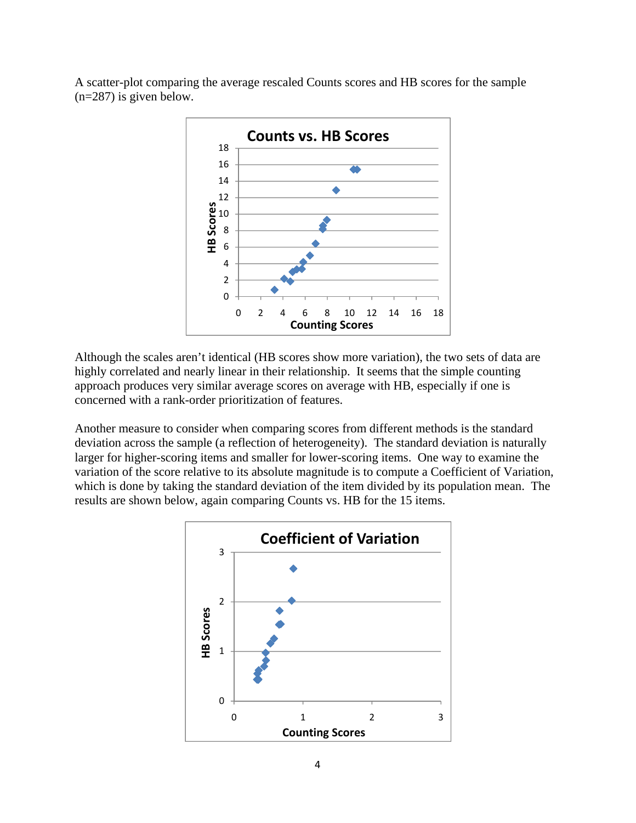A scatter-plot comparing the average rescaled Counts scores and HB scores for the sample (n=287) is given below.



Although the scales aren't identical (HB scores show more variation), the two sets of data are highly correlated and nearly linear in their relationship. It seems that the simple counting approach produces very similar average scores on average with HB, especially if one is concerned with a rank-order prioritization of features.

Another measure to consider when comparing scores from different methods is the standard deviation across the sample (a reflection of heterogeneity). The standard deviation is naturally larger for higher-scoring items and smaller for lower-scoring items. One way to examine the variation of the score relative to its absolute magnitude is to compute a Coefficient of Variation, which is done by taking the standard deviation of the item divided by its population mean. The results are shown below, again comparing Counts vs. HB for the 15 items.

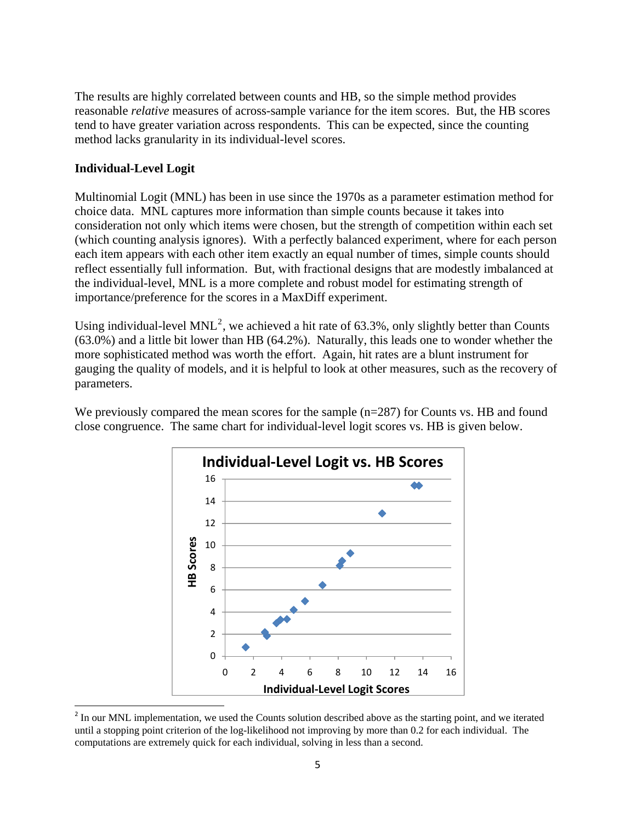The results are highly correlated between counts and HB, so the simple method provides reasonable *relative* measures of across-sample variance for the item scores. But, the HB scores tend to have greater variation across respondents. This can be expected, since the counting method lacks granularity in its individual-level scores.

### **Individual-Level Logit**

Multinomial Logit (MNL) has been in use since the 1970s as a parameter estimation method for choice data. MNL captures more information than simple counts because it takes into consideration not only which items were chosen, but the strength of competition within each set (which counting analysis ignores). With a perfectly balanced experiment, where for each person each item appears with each other item exactly an equal number of times, simple counts should reflect essentially full information. But, with fractional designs that are modestly imbalanced at the individual-level, MNL is a more complete and robust model for estimating strength of importance/preference for the scores in a MaxDiff experiment.

Using individual-level MNL<sup>[2](#page-5-0)</sup>, we achieved a hit rate of 63.3%, only slightly better than Counts (63.0%) and a little bit lower than HB (64.2%). Naturally, this leads one to wonder whether the more sophisticated method was worth the effort. Again, hit rates are a blunt instrument for gauging the quality of models, and it is helpful to look at other measures, such as the recovery of parameters.

We previously compared the mean scores for the sample  $(n=287)$  for Counts vs. HB and found close congruence. The same chart for individual-level logit scores vs. HB is given below.



<span id="page-5-0"></span><sup>&</sup>lt;sup>2</sup> In our MNL implementation, we used the Counts solution described above as the starting point, and we iterated until a stopping point criterion of the log-likelihood not improving by more than 0.2 for each individual. The computations are extremely quick for each individual, solving in less than a second.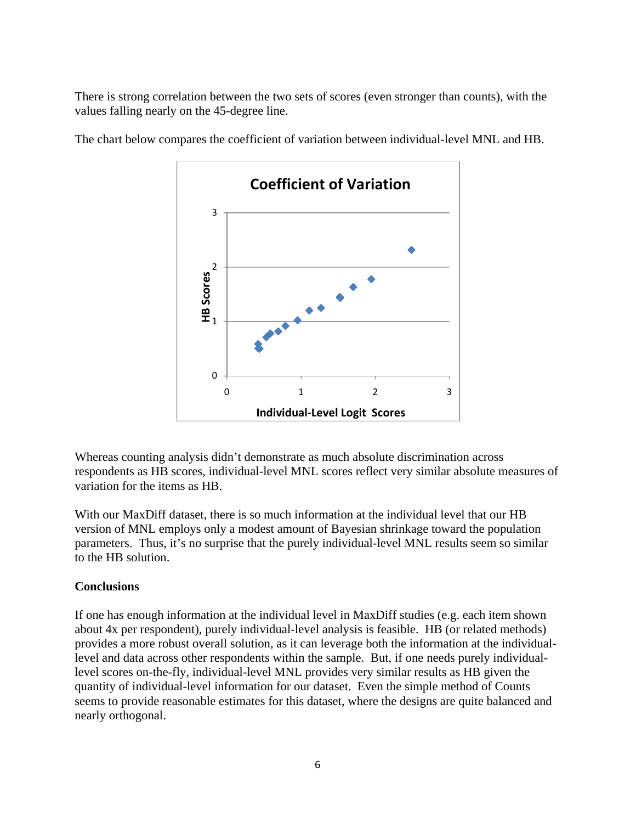There is strong correlation between the two sets of scores (even stronger than counts), with the values falling nearly on the 45-degree line.



The chart below compares the coefficient of variation between individual-level MNL and HB.

Whereas counting analysis didn't demonstrate as much absolute discrimination across respondents as HB scores, individual-level MNL scores reflect very similar absolute measures of variation for the items as HB.

With our MaxDiff dataset, there is so much information at the individual level that our HB version of MNL employs only a modest amount of Bayesian shrinkage toward the population parameters. Thus, it's no surprise that the purely individual-level MNL results seem so similar to the HB solution.

# **Conclusions**

If one has enough information at the individual level in MaxDiff studies (e.g. each item shown about 4x per respondent), purely individual-level analysis is feasible. HB (or related methods) provides a more robust overall solution, as it can leverage both the information at the individuallevel and data across other respondents within the sample. But, if one needs purely individuallevel scores on-the-fly, individual-level MNL provides very similar results as HB given the quantity of individual-level information for our dataset. Even the simple method of Counts seems to provide reasonable estimates for this dataset, where the designs are quite balanced and nearly orthogonal.